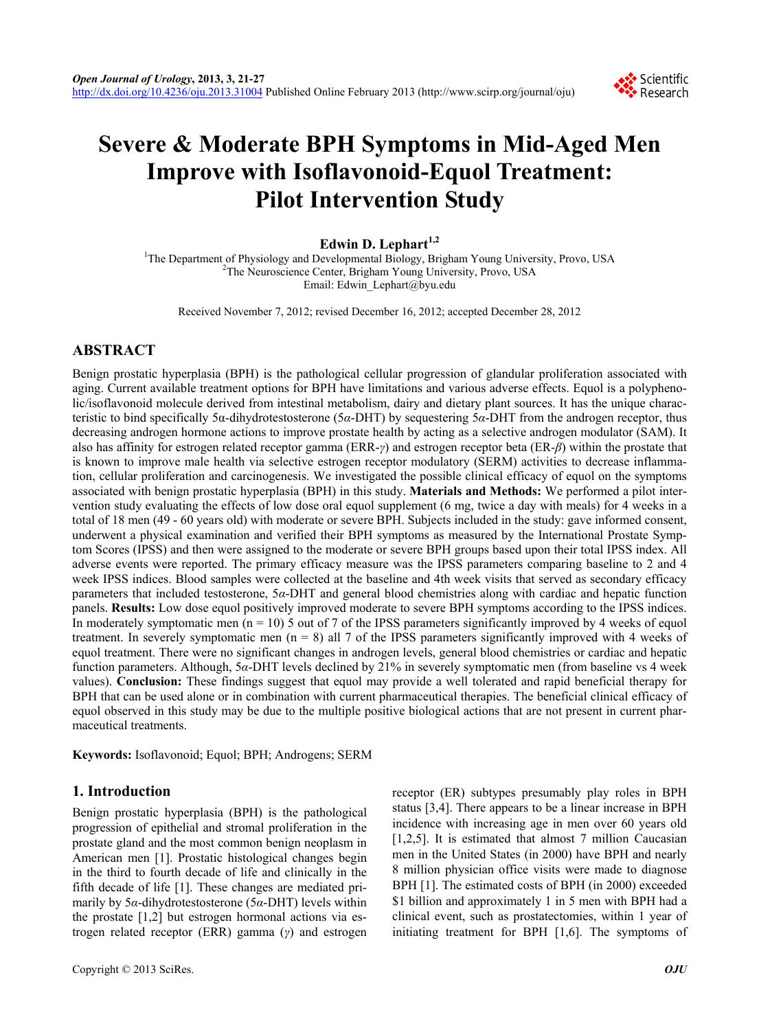

# **Severe & Moderate BPH Symptoms in Mid-Aged Men Improve with Isoflavonoid-Equol Treatment: Pilot Intervention Study**

# **Edwin D. Lephart1,2**

<sup>1</sup>The Department of Physiology and Developmental Biology, Brigham Young University, Provo, USA  $^{2}$ The Naurescience Center, Brigham Young University, Provo, USA <sup>2</sup>The Neuroscience Center, Brigham Young University, Provo, USA Email: Edwin\_Lephart@byu.edu

Received November 7, 2012; revised December 16, 2012; accepted December 28, 2012

# **ABSTRACT**

Benign prostatic hyperplasia (BPH) is the pathological cellular progression of glandular proliferation associated with aging. Current available treatment options for BPH have limitations and various adverse effects. Equol is a polyphenolic/isoflavonoid molecule derived from intestinal metabolism, dairy and dietary plant sources. It has the unique characteristic to bind specifically 5α-dihydrotestosterone (5*α*-DHT) by sequestering 5*α*-DHT from the androgen receptor, thus decreasing androgen hormone actions to improve prostate health by acting as a selective androgen modulator (SAM). It also has affinity for estrogen related receptor gamma (ERR-*γ*) and estrogen receptor beta (ER-*β*) within the prostate that is known to improve male health via selective estrogen receptor modulatory (SERM) activities to decrease inflammation, cellular proliferation and carcinogenesis. We investigated the possible clinical efficacy of equol on the symptoms associated with benign prostatic hyperplasia (BPH) in this study. **Materials and Methods:** We performed a pilot intervention study evaluating the effects of low dose oral equol supplement (6 mg, twice a day with meals) for 4 weeks in a total of 18 men (49 - 60 years old) with moderate or severe BPH. Subjects included in the study: gave informed consent, underwent a physical examination and verified their BPH symptoms as measured by the International Prostate Symptom Scores (IPSS) and then were assigned to the moderate or severe BPH groups based upon their total IPSS index. All adverse events were reported. The primary efficacy measure was the IPSS parameters comparing baseline to 2 and 4 week IPSS indices. Blood samples were collected at the baseline and 4th week visits that served as secondary efficacy parameters that included testosterone, 5*α*-DHT and general blood chemistries along with cardiac and hepatic function panels. **Results:** Low dose equol positively improved moderate to severe BPH symptoms according to the IPSS indices. In moderately symptomatic men ( $n = 10$ ) 5 out of 7 of the IPSS parameters significantly improved by 4 weeks of equol treatment. In severely symptomatic men  $(n = 8)$  all 7 of the IPSS parameters significantly improved with 4 weeks of equol treatment. There were no significant changes in androgen levels, general blood chemistries or cardiac and hepatic function parameters. Although, 5*α*-DHT levels declined by 21% in severely symptomatic men (from baseline vs 4 week values). **Conclusion:** These findings suggest that equol may provide a well tolerated and rapid beneficial therapy for BPH that can be used alone or in combination with current pharmaceutical therapies. The beneficial clinical efficacy of equol observed in this study may be due to the multiple positive biological actions that are not present in current pharmaceutical treatments.

**Keywords:** Isoflavonoid; Equol; BPH; Androgens; SERM

## **1. Introduction**

Benign prostatic hyperplasia (BPH) is the pathological progression of epithelial and stromal proliferation in the prostate gland and the most common benign neoplasm in American men [1]. Prostatic histological changes begin in the third to fourth decade of life and clinically in the fifth decade of life [1]. These changes are mediated primarily by 5*α*-dihydrotestosterone (5*α*-DHT) levels within the prostate [1,2] but estrogen hormonal actions via estrogen related receptor (ERR) gamma (*γ*) and estrogen receptor (ER) subtypes presumably play roles in BPH status [3,4]. There appears to be a linear increase in BPH incidence with increasing age in men over 60 years old [1,2,5]. It is estimated that almost 7 million Caucasian men in the United States (in 2000) have BPH and nearly 8 million physician office visits were made to diagnose BPH [1]. The estimated costs of BPH (in 2000) exceeded \$1 billion and approximately 1 in 5 men with BPH had a clinical event, such as prostatectomies, within 1 year of initiating treatment for BPH [1,6]. The symptoms of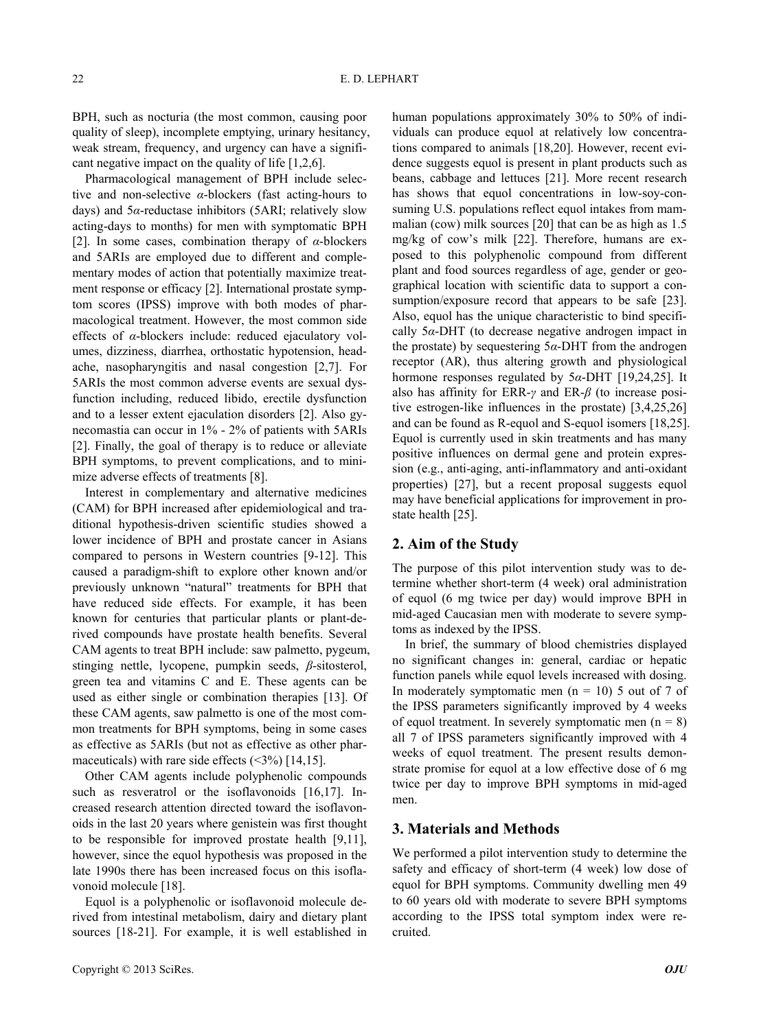BPH, such as nocturia (the most common, causing poor quality of sleep), incomplete emptying, urinary hesitancy, weak stream, frequency, and urgency can have a significant negative impact on the quality of life [1,2,6].

Pharmacological management of BPH include selective and non-selective *α*-blockers (fast acting-hours to days) and 5*α*-reductase inhibitors (5ARI; relatively slow acting-days to months) for men with symptomatic BPH [2]. In some cases, combination therapy of *α*-blockers and 5ARIs are employed due to different and complementary modes of action that potentially maximize treatment response or efficacy [2]. International prostate symptom scores (IPSS) improve with both modes of pharmacological treatment. However, the most common side effects of *α*-blockers include: reduced ejaculatory volumes, dizziness, diarrhea, orthostatic hypotension, headache, nasopharyngitis and nasal congestion [2,7]. For 5ARIs the most common adverse events are sexual dysfunction including, reduced libido, erectile dysfunction and to a lesser extent ejaculation disorders [2]. Also gynecomastia can occur in 1% - 2% of patients with 5ARIs [2]. Finally, the goal of therapy is to reduce or alleviate BPH symptoms, to prevent complications, and to minimize adverse effects of treatments [8].

Interest in complementary and alternative medicines (CAM) for BPH increased after epidemiological and traditional hypothesis-driven scientific studies showed a lower incidence of BPH and prostate cancer in Asians compared to persons in Western countries [9-12]. This caused a paradigm-shift to explore other known and/or previously unknown "natural" treatments for BPH that have reduced side effects. For example, it has been known for centuries that particular plants or plant-derived compounds have prostate health benefits. Several CAM agents to treat BPH include: saw palmetto, pygeum, stinging nettle, lycopene, pumpkin seeds, *β*-sitosterol, green tea and vitamins C and E. These agents can be used as either single or combination therapies [13]. Of these CAM agents, saw palmetto is one of the most common treatments for BPH symptoms, being in some cases as effective as 5ARIs (but not as effective as other pharmaceuticals) with rare side effects  $(\leq 3\%)$  [14,15].

Other CAM agents include polyphenolic compounds such as resveratrol or the isoflavonoids [16,17]. Increased research attention directed toward the isoflavonoids in the last 20 years where genistein was first thought to be responsible for improved prostate health [9,11], however, since the equol hypothesis was proposed in the late 1990s there has been increased focus on this isoflavonoid molecule [18].

Equol is a polyphenolic or isoflavonoid molecule derived from intestinal metabolism, dairy and dietary plant sources [18-21]. For example, it is well established in human populations approximately 30% to 50% of individuals can produce equol at relatively low concentrations compared to animals [18,20]. However, recent evidence suggests equol is present in plant products such as beans, cabbage and lettuces [21]. More recent research has shows that equol concentrations in low-soy-consuming U.S. populations reflect equol intakes from mammalian (cow) milk sources [20] that can be as high as 1.5 mg/kg of cow's milk [22]. Therefore, humans are exposed to this polyphenolic compound from different plant and food sources regardless of age, gender or geographical location with scientific data to support a consumption/exposure record that appears to be safe [23]. Also, equol has the unique characteristic to bind specifically 5*α*-DHT (to decrease negative androgen impact in the prostate) by sequestering 5*α*-DHT from the androgen receptor (AR), thus altering growth and physiological hormone responses regulated by 5*α*-DHT [19,24,25]. It also has affinity for ERR-*γ* and ER-*β* (to increase positive estrogen-like influences in the prostate) [3,4,25,26] and can be found as R-equol and S-equol isomers [18,25]. Equol is currently used in skin treatments and has many positive influences on dermal gene and protein expression (e.g., anti-aging, anti-inflammatory and anti-oxidant properties) [27], but a recent proposal suggests equol may have beneficial applications for improvement in prostate health [25].

## **2. Aim of the Study**

The purpose of this pilot intervention study was to determine whether short-term (4 week) oral administration of equol (6 mg twice per day) would improve BPH in mid-aged Caucasian men with moderate to severe symptoms as indexed by the IPSS.

In brief, the summary of blood chemistries displayed no significant changes in: general, cardiac or hepatic function panels while equol levels increased with dosing. In moderately symptomatic men  $(n = 10)$  5 out of 7 of the IPSS parameters significantly improved by 4 weeks of equol treatment. In severely symptomatic men  $(n = 8)$ all 7 of IPSS parameters significantly improved with 4 weeks of equol treatment. The present results demonstrate promise for equol at a low effective dose of 6 mg twice per day to improve BPH symptoms in mid-aged men.

# **3. Materials and Methods**

We performed a pilot intervention study to determine the safety and efficacy of short-term (4 week) low dose of equol for BPH symptoms. Community dwelling men 49 to 60 years old with moderate to severe BPH symptoms according to the IPSS total symptom index were recruited.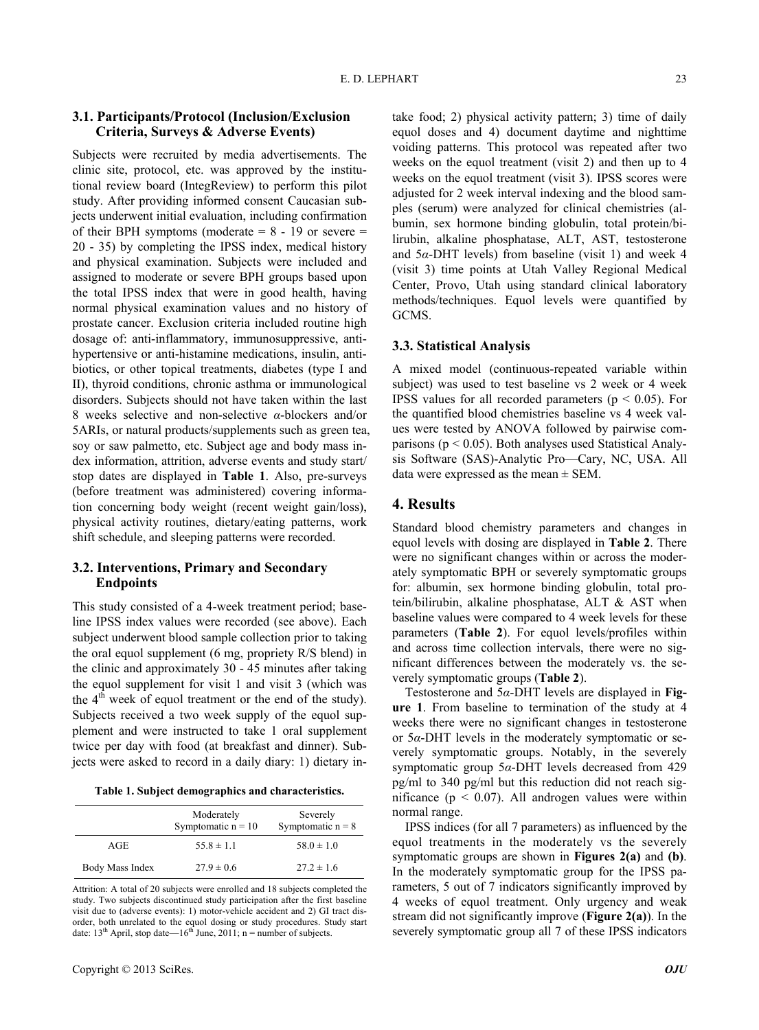## **3.1. Participants/Protocol (Inclusion/Exclusion Criteria, Surveys & Adverse Events)**

Subjects were recruited by media advertisements. The clinic site, protocol, etc. was approved by the institutional review board (IntegReview) to perform this pilot study. After providing informed consent Caucasian subjects underwent initial evaluation, including confirmation of their BPH symptoms (moderate  $= 8 - 19$  or severe  $=$ 20 - 35) by completing the IPSS index, medical history and physical examination. Subjects were included and assigned to moderate or severe BPH groups based upon the total IPSS index that were in good health, having normal physical examination values and no history of prostate cancer. Exclusion criteria included routine high dosage of: anti-inflammatory, immunosuppressive, antihypertensive or anti-histamine medications, insulin, antibiotics, or other topical treatments, diabetes (type I and II), thyroid conditions, chronic asthma or immunological disorders. Subjects should not have taken within the last 8 weeks selective and non-selective *α*-blockers and/or 5ARIs, or natural products/supplements such as green tea, soy or saw palmetto, etc. Subject age and body mass index information, attrition, adverse events and study start/ stop dates are displayed in **Table 1**. Also, pre-surveys (before treatment was administered) covering information concerning body weight (recent weight gain/loss), physical activity routines, dietary/eating patterns, work shift schedule, and sleeping patterns were recorded.

## **3.2. Interventions, Primary and Secondary Endpoints**

This study consisted of a 4-week treatment period; baseline IPSS index values were recorded (see above). Each subject underwent blood sample collection prior to taking the oral equol supplement (6 mg, propriety R/S blend) in the clinic and approximately 30 - 45 minutes after taking the equol supplement for visit 1 and visit 3 (which was the  $4<sup>th</sup>$  week of equol treatment or the end of the study). Subjects received a two week supply of the equol supplement and were instructed to take 1 oral supplement twice per day with food (at breakfast and dinner). Subjects were asked to record in a daily diary: 1) dietary in-

**Table 1. Subject demographics and characteristics.**

|                 | Moderately<br>Symptomatic $n = 10$ | Severely<br>Symptomatic $n = 8$ |  |
|-----------------|------------------------------------|---------------------------------|--|
| AGE             | $55.8 \pm 1.1$                     | $58.0 \pm 1.0$                  |  |
| Body Mass Index | $27.9 \pm 0.6$                     | $27.2 \pm 1.6$                  |  |

Attrition: A total of 20 subjects were enrolled and 18 subjects completed the study. Two subjects discontinued study participation after the first baseline visit due to (adverse events): 1) motor-vehicle accident and 2) GI tract disorder, both unrelated to the equol dosing or study procedures. Study start date:  $13^{th}$  April, stop date— $16^{th}$  June, 2011; n = number of subjects. take food; 2) physical activity pattern; 3) time of daily equol doses and 4) document daytime and nighttime voiding patterns. This protocol was repeated after two weeks on the equol treatment (visit 2) and then up to 4 weeks on the equol treatment (visit 3). IPSS scores were adjusted for 2 week interval indexing and the blood samples (serum) were analyzed for clinical chemistries (albumin, sex hormone binding globulin, total protein/bilirubin, alkaline phosphatase, ALT, AST, testosterone and 5*α*-DHT levels) from baseline (visit 1) and week 4 (visit 3) time points at Utah Valley Regional Medical Center, Provo, Utah using standard clinical laboratory methods/techniques. Equol levels were quantified by GCMS.

#### **3.3. Statistical Analysis**

A mixed model (continuous-repeated variable within subject) was used to test baseline vs 2 week or 4 week IPSS values for all recorded parameters ( $p < 0.05$ ). For the quantified blood chemistries baseline vs 4 week values were tested by ANOVA followed by pairwise comparisons ( $p < 0.05$ ). Both analyses used Statistical Analysis Software (SAS)-Analytic Pro—Cary, NC, USA. All data were expressed as the mean  $\pm$  SEM.

# **4. Results**

Standard blood chemistry parameters and changes in equol levels with dosing are displayed in **Table 2**. There were no significant changes within or across the moderately symptomatic BPH or severely symptomatic groups for: albumin, sex hormone binding globulin, total protein/bilirubin, alkaline phosphatase, ALT & AST when baseline values were compared to 4 week levels for these parameters (**Table 2**). For equol levels/profiles within and across time collection intervals, there were no significant differences between the moderately vs. the severely symptomatic groups (**Table 2**).

Testosterone and 5*α*-DHT levels are displayed in **Figure 1**. From baseline to termination of the study at 4 weeks there were no significant changes in testosterone or 5*α*-DHT levels in the moderately symptomatic or severely symptomatic groups. Notably, in the severely symptomatic group 5*α*-DHT levels decreased from 429 pg/ml to 340 pg/ml but this reduction did not reach significance ( $p < 0.07$ ). All androgen values were within normal range.

IPSS indices (for all 7 parameters) as influenced by the equol treatments in the moderately vs the severely symptomatic groups are shown in **Figures 2(a)** and **(b)**. In the moderately symptomatic group for the IPSS parameters, 5 out of 7 indicators significantly improved by 4 weeks of equol treatment. Only urgency and weak stream did not significantly improve (**Figure 2(a)**). In the severely symptomatic group all 7 of these IPSS indicators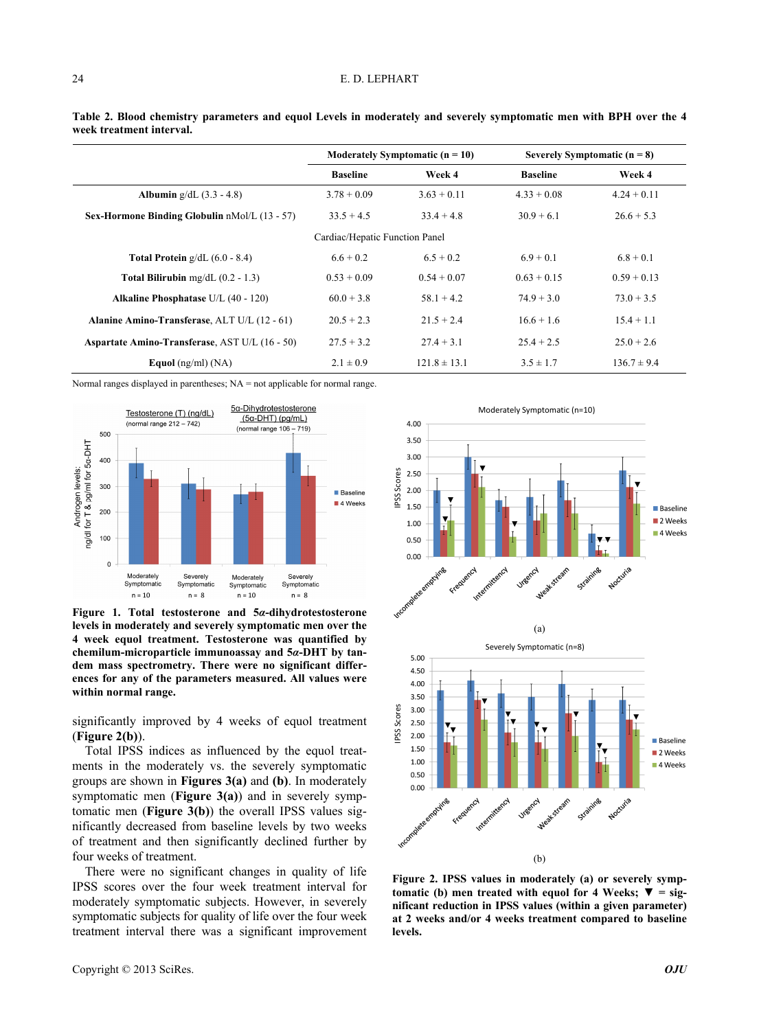#### E. D. LEPHART

|                                                       | Moderately Symptomatic $(n = 10)$ |                  | Severely Symptomatic $(n = 8)$ |                 |
|-------------------------------------------------------|-----------------------------------|------------------|--------------------------------|-----------------|
|                                                       | <b>Baseline</b>                   | Week 4           | <b>Baseline</b>                | Week 4          |
| <b>Albumin</b> $g/dL$ (3.3 - 4.8)                     | $3.78 + 0.09$                     | $3.63 + 0.11$    | $4.33 + 0.08$                  | $4.24 \pm 0.11$ |
| Sex-Hormone Binding Globulin nMol/L (13 - 57)         | $33.5 + 4.5$                      | $33.4 + 4.8$     | $30.9 + 6.1$                   | $26.6 + 5.3$    |
|                                                       | Cardiac/Hepatic Function Panel    |                  |                                |                 |
| <b>Total Protein</b> $g/dL$ (6.0 - 8.4)               | $6.6 + 0.2$                       | $6.5 + 0.2$      | $6.9 + 0.1$                    | $6.8 + 0.1$     |
| <b>Total Bilirubin</b> mg/dL $(0.2 - 1.3)$            | $0.53 + 0.09$                     | $0.54 + 0.07$    | $0.63 + 0.15$                  | $0.59 + 0.13$   |
| <b>Alkaline Phosphatase U/L (40 - 120)</b>            | $60.0 + 3.8$                      | $58.1 + 4.2$     | $74.9 + 3.0$                   | $73.0 + 3.5$    |
| Alanine Amino-Transferase, ALT U/L (12 - 61)          | $20.5 + 2.3$                      | $21.5 + 2.4$     | $16.6 + 1.6$                   | $15.4 + 1.1$    |
| <b>Aspartate Amino-Transferase, AST U/L (16 - 50)</b> | $27.5 + 3.2$                      | $27.4 + 3.1$     | $25.4 + 2.5$                   | $25.0 + 2.6$    |
| Equol $(ng/ml)$ $(NA)$                                | $2.1 \pm 0.9$                     | $121.8 \pm 13.1$ | $3.5 \pm 1.7$                  | $136.7 \pm 9.4$ |

**Table 2. Blood chemistry parameters and equol Levels in moderately and severely symptomatic men with BPH over the 4 week treatment interval.** 

Normal ranges displayed in parentheses; NA = not applicable for normal range.



**Figure 1. Total testosterone and 5***α***-dihydrotestosterone levels in moderately and severely symptomatic men over the 4 week equol treatment. Testosterone was quantified by chemilum-microparticle immunoassay and 5***α***-DHT by tandem mass spectrometry. There were no significant differences for any of the parameters measured. All values were within normal range.** 

significantly improved by 4 weeks of equol treatment (**Figure 2(b)**).

Total IPSS indices as influenced by the equol treatments in the moderately vs. the severely symptomatic groups are shown in **Figures 3(a)** and **(b)**. In moderately symptomatic men (**Figure 3(a)**) and in severely symptomatic men (**Figure 3(b)**) the overall IPSS values significantly decreased from baseline levels by two weeks of treatment and then significantly declined further by four weeks of treatment. (b)

There were no significant changes in quality of life IPSS scores over the four week treatment interval for moderately symptomatic subjects. However, in severely symptomatic subjects for quality of life over the four week treatment interval there was a significant improvement



**Figure 2. IPSS values in moderately (a) or severely symptomatic (b) men treated with equol for 4 Weeks;**  $\overline{\mathbf{v}} = \text{sig-}$ **nificant reduction in IPSS values (within a given parameter) at 2 weeks and/or 4 weeks treatment compared to baseline levels.**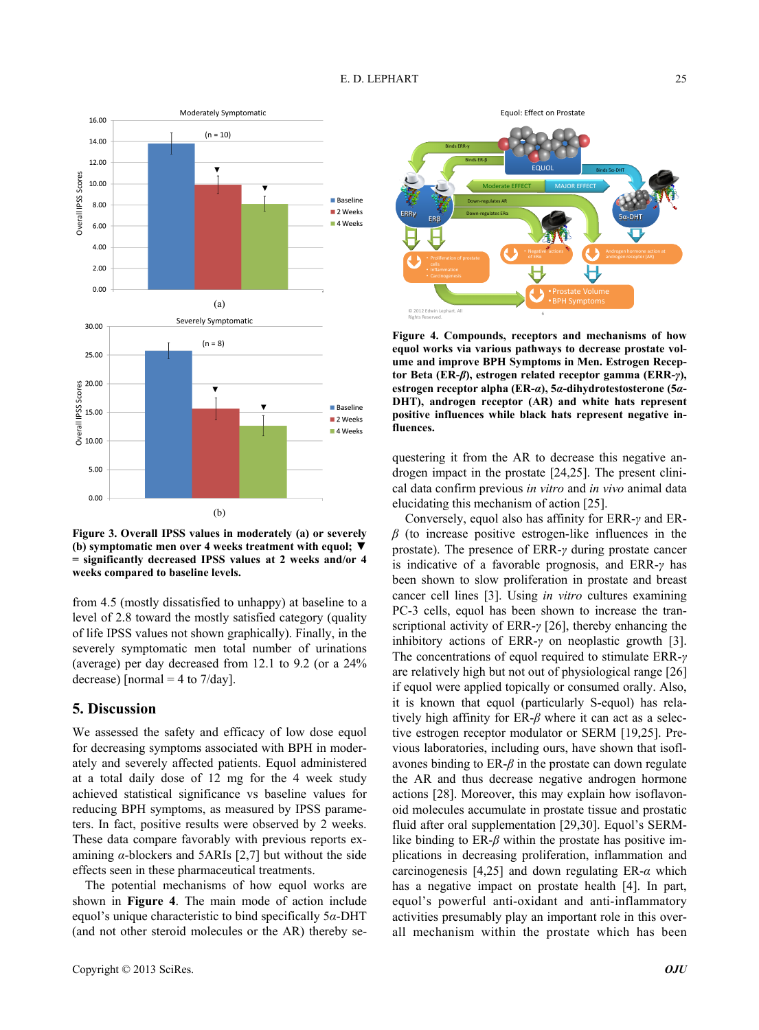



from 4.5 (mostly dissatisfied to unhappy) at baseline to a level of 2.8 toward the mostly satisfied category (quality of life IPSS values not shown graphically). Finally, in the severely symptomatic men total number of urinations (average) per day decreased from 12.1 to 9.2 (or a 24% decrease) [normal = 4 to  $7$ /day].

#### **5. Discussion**

We assessed the safety and efficacy of low dose equol for decreasing symptoms associated with BPH in moderately and severely affected patients. Equol administered at a total daily dose of 12 mg for the 4 week study achieved statistical significance vs baseline values for reducing BPH symptoms, as measured by IPSS parameters. In fact, positive results were observed by 2 weeks. These data compare favorably with previous reports examining *α*-blockers and 5ARIs [2,7] but without the side effects seen in these pharmaceutical treatments.

The potential mechanisms of how equol works are shown in **Figure 4**. The main mode of action include equol's unique characteristic to bind specifically 5*α*-DHT (and not other steroid molecules or the AR) thereby se-



**Figure 4. Compounds, receptors and mechanisms of how equol works via various pathways to decrease prostate volume and improve BPH Symptoms in Men. Estrogen Receptor Beta (ER-***β***), estrogen related receptor gamma (ERR-***γ***), estrogen receptor alpha (ER-***α***), 5***α***-dihydrotestosterone (5***α***-DHT), androgen receptor (AR) and white hats represent positive influences while black hats represent negative influences.** 

questering it from the AR to decrease this negative androgen impact in the prostate [24,25]. The present clinical data confirm previous *in vitro* and *in vivo* animal data elucidating this mechanism of action [25].

Conversely, equol also has affinity for ERR-*γ* and ER*β* (to increase positive estrogen-like influences in the prostate). The presence of ERR-*γ* during prostate cancer is indicative of a favorable prognosis, and ERR-*γ* has been shown to slow proliferation in prostate and breast cancer cell lines [3]. Using *in vitro* cultures examining PC-3 cells, equol has been shown to increase the transcriptional activity of ERR-*γ* [26], thereby enhancing the inhibitory actions of ERR-*γ* on neoplastic growth [3]. The concentrations of equol required to stimulate ERR-*γ* are relatively high but not out of physiological range [26] if equol were applied topically or consumed orally. Also, it is known that equol (particularly S-equol) has relatively high affinity for ER-*β* where it can act as a selective estrogen receptor modulator or SERM [19,25]. Previous laboratories, including ours, have shown that isoflavones binding to  $ER-\beta$  in the prostate can down regulate the AR and thus decrease negative androgen hormone actions [28]. Moreover, this may explain how isoflavonoid molecules accumulate in prostate tissue and prostatic fluid after oral supplementation [29,30]. Equol's SERMlike binding to ER- $\beta$  within the prostate has positive implications in decreasing proliferation, inflammation and carcinogenesis [4,25] and down regulating ER-*α* which has a negative impact on prostate health [4]. In part, equol's powerful anti-oxidant and anti-inflammatory activities presumably play an important role in this overall mechanism within the prostate which has been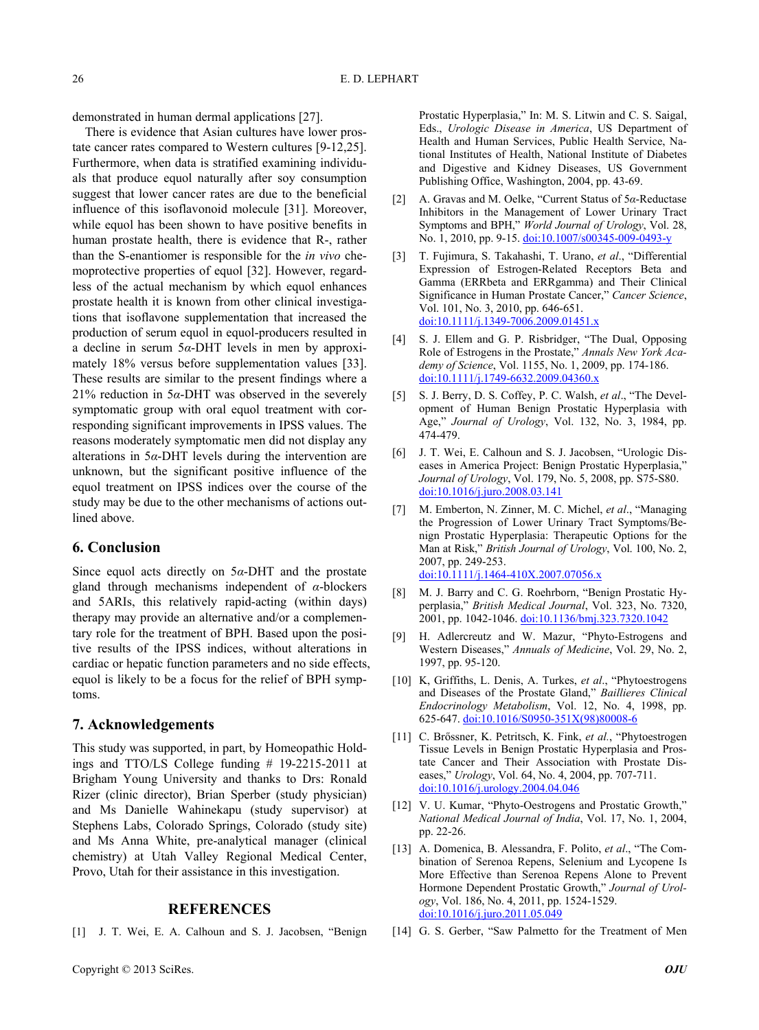demonstrated in human dermal applications [27].

There is evidence that Asian cultures have lower prostate cancer rates compared to Western cultures [9-12,25]. Furthermore, when data is stratified examining individuals that produce equol naturally after soy consumption suggest that lower cancer rates are due to the beneficial influence of this isoflavonoid molecule [31]. Moreover, while equol has been shown to have positive benefits in human prostate health, there is evidence that R-, rather than the S-enantiomer is responsible for the *in vivo* chemoprotective properties of equol [32]. However, regardless of the actual mechanism by which equol enhances prostate health it is known from other clinical investigations that isoflavone supplementation that increased the production of serum equol in equol-producers resulted in a decline in serum 5*α*-DHT levels in men by approximately 18% versus before supplementation values [33]. These results are similar to the present findings where a 21% reduction in 5*α*-DHT was observed in the severely symptomatic group with oral equol treatment with corresponding significant improvements in IPSS values. The reasons moderately symptomatic men did not display any alterations in 5*α*-DHT levels during the intervention are unknown, but the significant positive influence of the equol treatment on IPSS indices over the course of the study may be due to the other mechanisms of actions outlined above.

## **6. Conclusion**

Since equol acts directly on 5*α*-DHT and the prostate gland through mechanisms independent of *α*-blockers and 5ARIs, this relatively rapid-acting (within days) therapy may provide an alternative and/or a complementary role for the treatment of BPH. Based upon the positive results of the IPSS indices, without alterations in cardiac or hepatic function parameters and no side effects, equol is likely to be a focus for the relief of BPH symptoms.

### **7. Acknowledgements**

This study was supported, in part, by Homeopathic Holdings and TTO/LS College funding # 19-2215-2011 at Brigham Young University and thanks to Drs: Ronald Rizer (clinic director), Brian Sperber (study physician) and Ms Danielle Wahinekapu (study supervisor) at Stephens Labs, Colorado Springs, Colorado (study site) and Ms Anna White, pre-analytical manager (clinical chemistry) at Utah Valley Regional Medical Center, Provo, Utah for their assistance in this investigation.

## **REFERENCES**

[1] J. T. Wei, E. A. Calhoun and S. J. Jacobsen, "Benign

Prostatic Hyperplasia," In: M. S. Litwin and C. S. Saigal, Eds., *Urologic Disease in America*, US Department of Health and Human Services, Public Health Service, National Institutes of Health, National Institute of Diabetes and Digestive and Kidney Diseases, US Government Publishing Office, Washington, 2004, pp. 43-69.

- [2] A. Gravas and M. Oelke, "Current Status of 5*α*-Reductase Inhibitors in the Management of Lower Urinary Tract Symptoms and BPH," *World Journal of Urology*, Vol. 28, No. 1, 2010, pp. 9-15. [doi:10.1007/s00345-009-0493-y](http://dx.doi.org/10.1007/s00345-009-0493-y)
- [3] T. Fujimura, S. Takahashi, T. Urano, *et al*., "Differential Expression of Estrogen-Related Receptors Beta and Gamma (ERRbeta and ERRgamma) and Their Clinical Significance in Human Prostate Cancer," *Cancer Science*, Vol. 101, No. 3, 2010, pp. 646-651. [doi:10.1111/j.1349-7006.2009.01451.x](http://dx.doi.org/10.1111/j.1349-7006.2009.01451.x)
- [4] S. J. Ellem and G. P. Risbridger, "The Dual, Opposing Role of Estrogens in the Prostate," *Annals New York Academy of Science*, Vol. 1155, No. 1, 2009, pp. 174-186. [doi:10.1111/j.1749-6632.2009.04360.x](http://dx.doi.org/10.1111/j.1749-6632.2009.04360.x)
- [5] S. J. Berry, D. S. Coffey, P. C. Walsh, *et al*., "The Development of Human Benign Prostatic Hyperplasia with Age," *Journal of Urology*, Vol. 132, No. 3, 1984, pp. 474-479.
- [6] J. T. Wei, E. Calhoun and S. J. Jacobsen, "Urologic Diseases in America Project: Benign Prostatic Hyperplasia,' *Journal of Urology*, Vol. 179, No. 5, 2008, pp. S75-S80. [doi:10.1016/j.juro.2008.03.141](http://dx.doi.org/10.1016/j.juro.2008.03.141)
- [7] M. Emberton, N. Zinner, M. C. Michel, *et al*., "Managing the Progression of Lower Urinary Tract Symptoms/Benign Prostatic Hyperplasia: Therapeutic Options for the Man at Risk," *British Journal of Urology*, Vol. 100, No. 2, 2007, pp. 249-253. [doi:10.1111/j.1464-410X.2007.07056.x](http://dx.doi.org/10.1111/j.1464-410X.2007.07056.x)
- [8] M. J. Barry and C. G. Roehrborn, "Benign Prostatic Hyperplasia," *British Medical Journal*, Vol. 323, No. 7320, 2001, pp. 1042-1046. [doi:10.1136/bmj.323.7320.1042](http://dx.doi.org/10.1136/bmj.323.7320.1042)
- [9] H. Adlercreutz and W. Mazur, "Phyto-Estrogens and Western Diseases," *Annuals of Medicine*, Vol. 29, No. 2, 1997, pp. 95-120.
- [10] K, Griffiths, L. Denis, A. Turkes, *et al*., "Phytoestrogens and Diseases of the Prostate Gland," *Baillieres Clinical Endocrinology Metabolism*, Vol. 12, No. 4, 1998, pp. 625-647. [doi:10.1016/S0950-351X\(98\)80008-6](http://dx.doi.org/10.1016/S0950-351X(98)80008-6)
- [11] C. Brőssner, K. Petritsch, K. Fink, *et al.*, "Phytoestrogen Tissue Levels in Benign Prostatic Hyperplasia and Prostate Cancer and Their Association with Prostate Diseases," *Urology*, Vol. 64, No. 4, 2004, pp. 707-711. [doi:10.1016/j.urology.2004.04.046](http://dx.doi.org/10.1016/j.urology.2004.04.046)
- [12] V. U. Kumar, "Phyto-Oestrogens and Prostatic Growth," *National Medical Journal of India*, Vol. 17, No. 1, 2004, pp. 22-26.
- [13] A. Domenica, B. Alessandra, F. Polito, *et al*., "The Combination of Serenoa Repens, Selenium and Lycopene Is More Effective than Serenoa Repens Alone to Prevent Hormone Dependent Prostatic Growth," *Journal of Urology*, Vol. 186, No. 4, 2011, pp. 1524-1529. [doi:10.1016/j.juro.2011.05.049](http://dx.doi.org/10.1016/j.juro.2011.05.049)
- [14] G. S. Gerber, "Saw Palmetto for the Treatment of Men